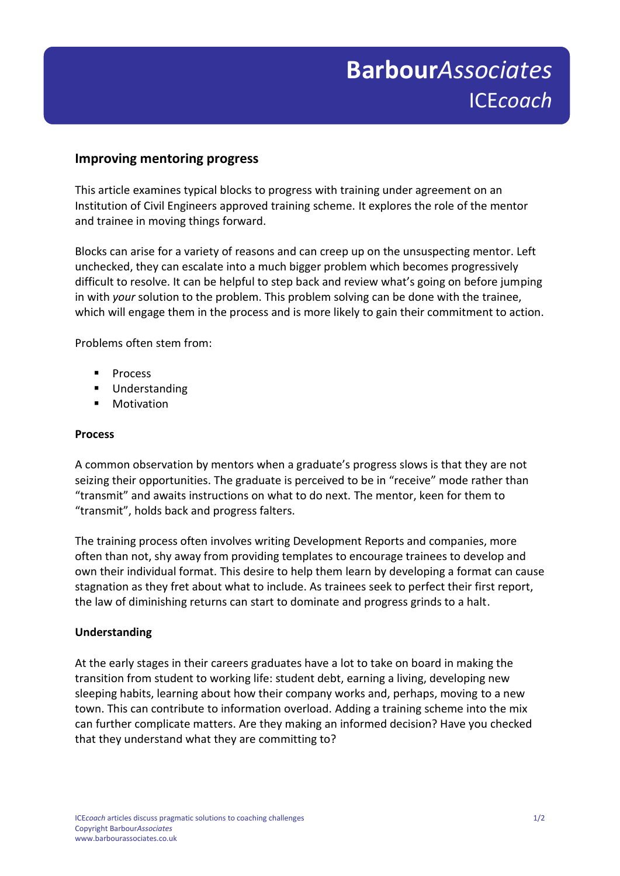# **Improving mentoring progress**

This article examines typical blocks to progress with training under agreement on an Institution of Civil Engineers approved training scheme. It explores the role of the mentor and trainee in moving things forward.

Blocks can arise for a variety of reasons and can creep up on the unsuspecting mentor. Left unchecked, they can escalate into a much bigger problem which becomes progressively difficult to resolve. It can be helpful to step back and review what's going on before jumping in with *your* solution to the problem. This problem solving can be done with the trainee, which will engage them in the process and is more likely to gain their commitment to action.

Problems often stem from:

- **Process**
- **Understanding**
- Motivation

#### **Process**

A common observation by mentors when a graduate's progress slows is that they are not seizing their opportunities. The graduate is perceived to be in "receive" mode rather than "transmit" and awaits instructions on what to do next. The mentor, keen for them to "transmit", holds back and progress falters.

The training process often involves writing Development Reports and companies, more often than not, shy away from providing templates to encourage trainees to develop and own their individual format. This desire to help them learn by developing a format can cause stagnation as they fret about what to include. As trainees seek to perfect their first report, the law of diminishing returns can start to dominate and progress grinds to a halt.

### **Understanding**

At the early stages in their careers graduates have a lot to take on board in making the transition from student to working life: student debt, earning a living, developing new sleeping habits, learning about how their company works and, perhaps, moving to a new town. This can contribute to information overload. Adding a training scheme into the mix can further complicate matters. Are they making an informed decision? Have you checked that they understand what they are committing to?